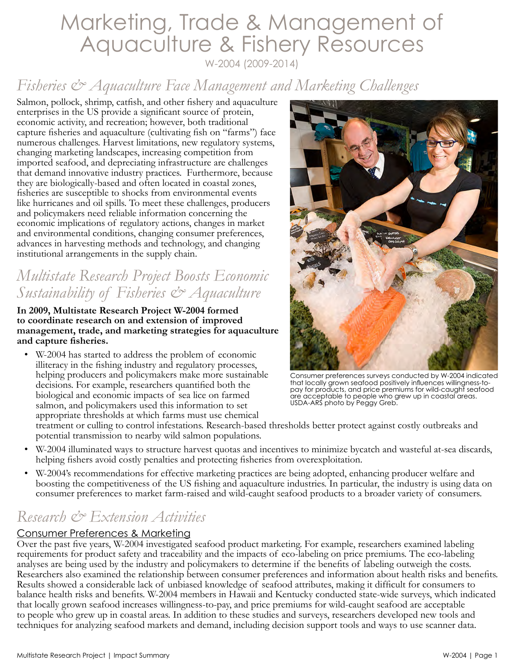# Marketing, Trade & Management of Aquaculture & Fishery Resources W-2004 (2009-2014)

## *Fisheries & Aquaculture Face Management and Marketing Challenges*

Salmon, pollock, shrimp, catfish, and other fishery and aquaculture enterprises in the US provide a significant source of protein, economic activity, and recreation; however, both traditional capture fisheries and aquaculture (cultivating fish on "farms") face numerous challenges. Harvest limitations, new regulatory systems, changing marketing landscapes, increasing competition from imported seafood, and depreciating infrastructure are challenges that demand innovative industry practices. Furthermore, because they are biologically-based and often located in coastal zones, fisheries are susceptible to shocks from environmental events like hurricanes and oil spills. To meet these challenges, producers and policymakers need reliable information concerning the economic implications of regulatory actions, changes in market and environmental conditions, changing consumer preferences, advances in harvesting methods and technology, and changing institutional arrangements in the supply chain.

## *Multistate Research Project Boosts Economic Sustainability of Fisheries & Aquaculture*

**In 2009, Multistate Research Project W-2004 formed to coordinate research on and extension of improved management, trade, and marketing strategies for aquaculture and capture fisheries.** 

• W-2004 has started to address the problem of economic illiteracy in the fishing industry and regulatory processes, helping producers and policymakers make more sustainable decisions. For example, researchers quantified both the biological and economic impacts of sea lice on farmed salmon, and policymakers used this information to set appropriate thresholds at which farms must use chemical



Consumer preferences surveys conducted by W-2004 indicated that locally grown seafood positively influences willingness-topay for products, and price premiums for wild-caught seafood are acceptable to people who grew up in coastal areas. USDA-ARS photo by Peggy Greb.

treatment or culling to control infestations. Research-based thresholds better protect against costly outbreaks and potential transmission to nearby wild salmon populations.

- W-2004 illuminated ways to structure harvest quotas and incentives to minimize bycatch and wasteful at-sea discards, helping fishers avoid costly penalties and protecting fisheries from overexploitation.
- W-2004's recommendations for effective marketing practices are being adopted, enhancing producer welfare and boosting the competitiveness of the US fishing and aquaculture industries. In particular, the industry is using data on consumer preferences to market farm-raised and wild-caught seafood products to a broader variety of consumers.

## *Research & Extension Activities*

### Consumer Preferences & Marketing

Over the past five years, W-2004 investigated seafood product marketing. For example, researchers examined labeling requirements for product safety and traceability and the impacts of eco-labeling on price premiums. The eco-labeling analyses are being used by the industry and policymakers to determine if the benefits of labeling outweigh the costs. Researchers also examined the relationship between consumer preferences and information about health risks and benefits. Results showed a considerable lack of unbiased knowledge of seafood attributes, making it difficult for consumers to balance health risks and benefits. W-2004 members in Hawaii and Kentucky conducted state-wide surveys, which indicated that locally grown seafood increases willingness-to-pay, and price premiums for wild-caught seafood are acceptable to people who grew up in coastal areas. In addition to these studies and surveys, researchers developed new tools and techniques for analyzing seafood markets and demand, including decision support tools and ways to use scanner data.